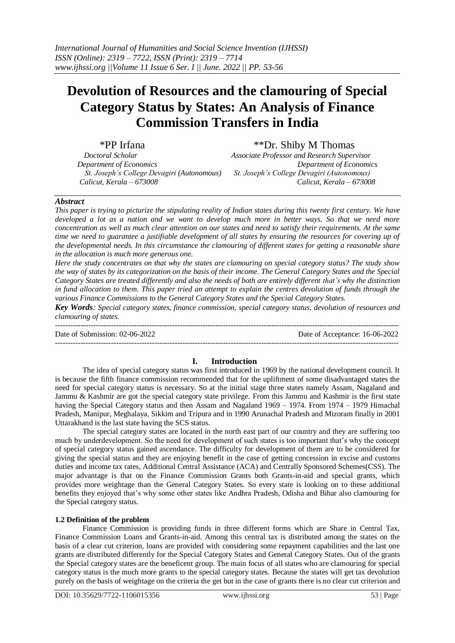# **Devolution of Resources and the clamouring of Special Category Status by States: An Analysis of Finance Commission Transfers in India**

\*PP Irfana \*\*Dr. Shiby M Thomas<br> *Doctoral Scholar Associate Professor and Research Super Department of Economics Department of Economics St. Joseph's College Devagiri (Autonomous) St. Joseph's College Devagiri (Autonomous) Calicut, Kerala – 673008 Calicut, Kerala – 673008*

*Doctoral Scholar Associate Professor and Research Supervisor*

## *Abstract*

*This paper is trying to picturize the stipulating reality of Indian states during this twenty first century. We have developed a lot as a nation and we want to develop much more in better ways. So that we need more concentration as well as much clear attention on our states and need to satisfy their requirements. At the same time we need to guarantee a justifiable development of all states by ensuring the resources for covering up of the developmental needs. In this circumstance the clamouring of different states for getting a reasonable share in the allocation is much more generous one.* 

*Here the study concentrates on that why the states are clamouring on special category status? The study show the way of states by its categorization on the basis of their income. The General Category States and the Special Category States are treated differently and also the needs of both are entirely different that's why the distinction in fund allocation to them. This paper tried an attempt to explain the centres devolution of funds through the various Finance Commissions to the General Category States and the Special Category States.* 

*Key Words: Special category states, finance commission, special category status, devolution of resources and clamouring of states.*

--------------------------------------------------------------------------------------------------------------------------------------- Date of Submission: 02-06-2022 Date of Acceptance: 16-06-2022 ---------------------------------------------------------------------------------------------------------------------------------------

# **I. Introduction**

The idea of special category status was first introduced in 1969 by the national development council. It is because the fifth finance commission recommended that for the upliftment of some disadvantaged states the need for special category status is necessary. So at the initial stage three states namely Assam, Nagaland and Jammu & Kashmir are got the special category state privilege. From this Jammu and Kashmir is the first state having the Special Category status and then Assam and Nagaland 1969 – 1974. From 1974 – 1979 Himachal Pradesh, Manipur, Meghalaya, Sikkim and Tripura and in 1990 Arunachal Pradesh and Mizoram finally in 2001 Uttarakhand is the last state having the SCS status.

The special category states are located in the north east part of our country and they are suffering too much by underdevelopment. So the need for development of such states is too important that's why the concept of special category status gained ascendance. The difficulty for development of them are to be considered for giving the special status and they are enjoying benefit in the case of getting concession in excise and customs duties and income tax rates, Additional Central Assistance (ACA) and Centrally Sponsored Schemes(CSS). The major advantage is that on the Finance Commission Grants both Grants-in-aid and special grants, which provides more weightage than the General Category States. So every state is looking on to these additional benefits they enjoyed that's why some other states like Andhra Pradesh, Odisha and Bihar also clamouring for the Special category status.

## **1.2 Definition of the problem**

Finance Commission is providing funds in three different forms which are Share in Central Tax, Finance Commission Loans and Grants-in-aid. Among this central tax is distributed among the states on the basis of a clear cut criterion, loans are provided with considering some repayment capabilities and the last one grants are distributed differently for the Special Category States and General Category States. Out of the grants the Special category states are the beneficent group. The main focus of all states who are clamouring for special category status is the much more grants to the special category states. Because the states will get tax devolution purely on the basis of weightage on the criteria the get but in the case of grants there is no clear cut criterion and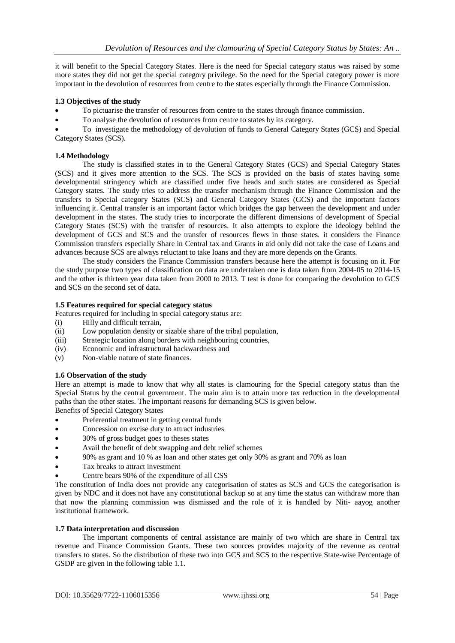it will benefit to the Special Category States. Here is the need for Special category status was raised by some more states they did not get the special category privilege. So the need for the Special category power is more important in the devolution of resources from centre to the states especially through the Finance Commission.

## **1.3 Objectives of the study**

- To pictuarise the transfer of resources from centre to the states through finance commission.
- To analyse the devolution of resources from centre to states by its category.

 To investigate the methodology of devolution of funds to General Category States (GCS) and Special Category States (SCS).

## **1.4 Methodology**

The study is classified states in to the General Category States (GCS) and Special Category States (SCS) and it gives more attention to the SCS. The SCS is provided on the basis of states having some developmental stringency which are classified under five heads and such states are considered as Special Category states. The study tries to address the transfer mechanism through the Finance Commission and the transfers to Special category States (SCS) and General Category States (GCS) and the important factors influencing it. Central transfer is an important factor which bridges the gap between the development and under development in the states. The study tries to incorporate the different dimensions of development of Special Category States (SCS) with the transfer of resources. It also attempts to explore the ideology behind the development of GCS and SCS and the transfer of resources flews in those states. it considers the Finance Commission transfers especially Share in Central tax and Grants in aid only did not take the case of Loans and advances because SCS are always reluctant to take loans and they are more depends on the Grants.

The study considers the Finance Commission transfers because here the attempt is focusing on it. For the study purpose two types of classification on data are undertaken one is data taken from 2004-05 to 2014-15 and the other is thirteen year data taken from 2000 to 2013. T test is done for comparing the devolution to GCS and SCS on the second set of data.

## **1.5 Features required for special category status**

Features required for including in special category status are:

- (i) Hilly and difficult terrain,
- (ii) Low population density or sizable share of the tribal population,
- (iii) Strategic location along borders with neighbouring countries,
- (iv) Economic and infrastructural backwardness and
- (v) Non-viable nature of state finances.

## **1.6 Observation of the study**

Here an attempt is made to know that why all states is clamouring for the Special category status than the Special Status by the central government. The main aim is to attain more tax reduction in the developmental paths than the other states. The important reasons for demanding SCS is given below.

Benefits of Special Category States

- Preferential treatment in getting central funds
- Concession on excise duty to attract industries
- 30% of gross budget goes to theses states
- Avail the benefit of debt swapping and debt relief schemes
- 90% as grant and 10 % as loan and other states get only 30% as grant and 70% as loan
- Tax breaks to attract investment
- Centre bears 90% of the expenditure of all CSS

The constitution of India does not provide any categorisation of states as SCS and GCS the categorisation is given by NDC and it does not have any constitutional backup so at any time the status can withdraw more than that now the planning commission was dismissed and the role of it is handled by Niti- aayog another institutional framework.

## **1.7 Data interpretation and discussion**

The important components of central assistance are mainly of two which are share in Central tax revenue and Finance Commission Grants. These two sources provides majority of the revenue as central transfers to states. So the distribution of these two into GCS and SCS to the respective State-wise Percentage of GSDP are given in the following table 1.1.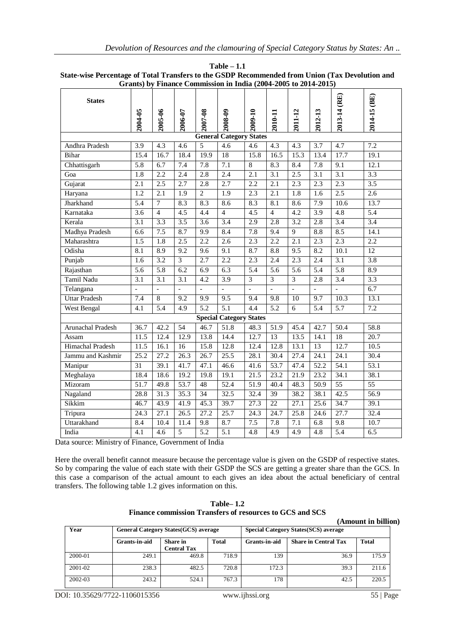| Grants) by Finance Commission in India (2004-2005 to 2014-2015) |                          |                  |                   |                          |                                |                          |                          |                  |                   |                  |                   |
|-----------------------------------------------------------------|--------------------------|------------------|-------------------|--------------------------|--------------------------------|--------------------------|--------------------------|------------------|-------------------|------------------|-------------------|
| <b>States</b>                                                   | 2004-05                  | 2005-06          | 2006-07           | 2007-08                  | 2008-09                        | 2009-10                  | 2010-11                  | 2011-12          | 2012-13           | 2013-14 (RE)     | $2014-15$ (BE)    |
|                                                                 |                          |                  |                   |                          | <b>General Category States</b> |                          |                          |                  |                   |                  |                   |
| Andhra Pradesh                                                  | $\overline{3.9}$         | 4.3              | 4.6               | $\overline{5}$           | 4.6                            | 4.6                      | $\overline{4.3}$         | 4.3              | $\overline{3.7}$  | 4.7              | 7.2               |
| Bihar                                                           | 15.4                     | 16.7             | 18.4              | 19.9                     | 18                             | 15.8                     | 16.5                     | 15.3             | 13.4              | 17.7             | 19.1              |
| Chhattisgarh                                                    | $\overline{5.8}$         | 6.7              | 7.4               | 7.8                      | 7.1                            | 8                        | 8.3                      | 8.4              | 7.8               | $\overline{9.1}$ | 12.1              |
| Goa                                                             | $\overline{1.8}$         | 2.2              | 2.4               | 2.8                      | 2.4                            | 2.1                      | $\overline{3.1}$         | 2.5              | $\overline{3.1}$  | $\overline{3.1}$ | $\overline{3.3}$  |
| Gujarat                                                         | 2.1                      | 2.5              | 2.7               | 2.8                      | 2.7                            | 2.2                      | 2.1                      | 2.3              | 2.3               | $\overline{2.3}$ | 3.5               |
| Haryana                                                         | 1.2                      | 2.1              | $\overline{1.9}$  | $\overline{2}$           | 1.9                            | 2.3                      | 2.1                      | 1.8              | 1.6               | 2.5              | 2.6               |
| Jharkhand                                                       | 5.4                      | $\tau$           | 8.3               | 8.3                      | 8.6                            | 8.3                      | 8.1                      | 8.6              | 7.9               | 10.6             | 13.7              |
| Karnataka                                                       | 3.6                      | $\overline{4}$   | 4.5               | 4.4                      | $\overline{4}$                 | 4.5                      | $\overline{4}$           | 4.2              | 3.9               | 4.8              | 5.4               |
| Kerala                                                          | 3.1                      | 3.3              | 3.5               | 3.6                      | 3.4                            | 2.9                      | 2.8                      | 3.2              | 2.8               | 3.4              | 3.4               |
| Madhya Pradesh                                                  | 6.6                      | 7.5              | 8.7               | 9.9                      | 8.4                            | 7.8                      | 9.4                      | 9                | 8.8               | 8.5              | 14.1              |
| Maharashtra                                                     | 1.5                      | 1.8              | 2.5               | 2.2                      | 2.6                            | 2.3                      | 2.2                      | 2.1              | 2.3               | 2.3              | $\overline{2.2}$  |
| Odisha                                                          | 8.1                      | 8.9              | 9.2               | 9.6                      | 9.1                            | 8.7                      | 8.8                      | 9.5              | 8.2               | 10.1             | $\overline{12}$   |
| Punjab                                                          | 1.6                      | 3.2              | 3                 | 2.7                      | 2.2                            | 2.3                      | 2.4                      | 2.3              | 2.4               | 3.1              | 3.8               |
| Rajasthan                                                       | 5.6                      | $\overline{5.8}$ | 6.2               | 6.9                      | 6.3                            | $\overline{5.4}$         | 5.6                      | $\overline{5.6}$ | $\overline{5.4}$  | 5.8              | 8.9               |
| Tamil Nadu                                                      | 3.1                      | 3.1              | $\overline{3.1}$  | 4.2                      | $\overline{3.9}$               | 3                        | $\overline{3}$           | $\overline{3}$   | 2.8               | $\overline{3.4}$ | $\overline{3.3}$  |
| Telangana                                                       | $\overline{\phantom{a}}$ | $\overline{a}$   |                   | $\overline{\phantom{a}}$ |                                | $\overline{\phantom{0}}$ | $\overline{\phantom{0}}$ | $\frac{1}{2}$    |                   | $\overline{a}$   | 6.7               |
| <b>Uttar Pradesh</b>                                            | $\overline{7.4}$         | 8                | 9.2               | 9.9                      | $\overline{9.5}$               | $\overline{9.4}$         | 9.8                      | $\overline{10}$  | 9.7               | 10.3             | 13.1              |
| <b>West Bengal</b>                                              | $\overline{4.1}$         | 5.4              | 4.9               | 5.2                      | 5.1                            | 4.4                      | 5.2                      | 6                | $\overline{5.4}$  | 5.7              | 7.2               |
|                                                                 |                          |                  |                   |                          | <b>Special Category States</b> |                          |                          |                  |                   |                  |                   |
| Arunachal Pradesh                                               | 36.7                     | 42.2             | 54                | 46.7                     | 51.8                           | 48.3                     | 51.9                     | 45.4             | 42.7              | 50.4             | 58.8              |
| Assam                                                           | 11.5                     | 12.4             | 12.9              | 13.8                     | 14.4                           | 12.7                     | 13                       | 13.5             | 14.1              | 18               | 20.7              |
| Himachal Pradesh                                                | 11.5                     | 16.1             | 16                | 15.8                     | 12.8                           | 12.4                     | 12.8                     | 13.1             | 13                | 12.7             | $\overline{10.5}$ |
| Jammu and Kashmir                                               | 25.2                     | 27.2             | 26.3              | 26.7                     | 25.5                           | 28.1                     | 30.4                     | 27.4             | $\overline{24.1}$ | 24.1             | 30.4              |
| Manipur                                                         | 31                       | 39.1             | 41.7              | 47.1                     | 46.6                           | 41.6                     | 53.7                     | 47.4             | 52.2              | 54.1             | $\overline{53.1}$ |
| Meghalaya                                                       | 18.4                     | 18.6             | 19.2              | 19.8                     | 19.1                           | 21.5                     | 23.2                     | 21.9             | 23.2              | 34.1             | 38.1              |
| Mizoram                                                         | $\overline{51.7}$        | 49.8             | $\overline{53.7}$ | 48                       | $\overline{52.4}$              | 51.9                     | 40.4                     | 48.3             | 50.9              | $\overline{55}$  | $\overline{55}$   |
| Nagaland                                                        | 28.8                     | 31.3             | 35.3              | 34                       | 32.5                           | 32.4                     | 39                       | 38.2             | 38.1              | 42.5             | 56.9              |
| Sikkim                                                          | 46.7                     | 43.9             | 41.9              | 45.3                     | 39.7                           | 27.3                     | 22                       | 27.1             | 25.6              | 34.7             | 39.1              |
| Tripura                                                         | $\overline{24.3}$        | 27.1             | $\overline{26.5}$ | 27.2                     | 25.7                           | 24.3                     | 24.7                     | 25.8             | 24.6              | 27.7             | 32.4              |
| Uttarakhand                                                     | 8.4                      | 10.4             | 11.4              | 9.8                      | 8.7                            | $7.5$                    | 7.8                      | 7.1              | 6.8               | 9.8              | 10.7              |
| India                                                           | 4.1                      | 4.6              | 5                 | $\overline{5.2}$         | 5.1                            | 4.8                      | $\overline{4.9}$         | 4.9              | 4.8               | $\overline{5.4}$ | $\overline{6.5}$  |

**Table – 1.1 State-wise Percentage of Total Transfers to the GSDP Recommended from Union (Tax Devolution and Grants) by Finance Commission in India (2004-2005 to 2014-2015)**

Data source: Ministry of Finance, Government of India

Here the overall benefit cannot measure because the percentage value is given on the GSDP of respective states. So by comparing the value of each state with their GSDP the SCS are getting a greater share than the GCS. In this case a comparison of the actual amount to each gives an idea about the actual beneficiary of central transfers. The following table 1.2 gives information on this.

| <b>Table–1.2</b><br>Finance commission Transfers of resources to GCS and SCS |  |  |  |  |  |
|------------------------------------------------------------------------------|--|--|--|--|--|
|                                                                              |  |  |  |  |  |

|                                                      | (Amount in billion) |                                |       |                                              |                             |              |  |  |
|------------------------------------------------------|---------------------|--------------------------------|-------|----------------------------------------------|-----------------------------|--------------|--|--|
| Year<br><b>General Category States (GCS) average</b> |                     |                                |       | <b>Special Category States (SCS) average</b> |                             |              |  |  |
|                                                      | Grants-in-aid       | Share in<br><b>Central Tax</b> | Total | Grants-in-aid                                | <b>Share in Central Tax</b> | <b>Total</b> |  |  |
| 2000-01                                              | 249.1               | 469.8                          | 718.9 | 139                                          | 36.9                        | 175.9        |  |  |
| 2001-02                                              | 238.3               | 482.5                          | 720.8 | 172.3                                        | 39.3                        | 211.6        |  |  |
| 2002-03                                              | 243.2               | 524.1                          | 767.3 | 178                                          | 42.5                        | 220.5        |  |  |

DOI: 10.35629/7722-1106015356 www.ijhssi.org 55 | Page